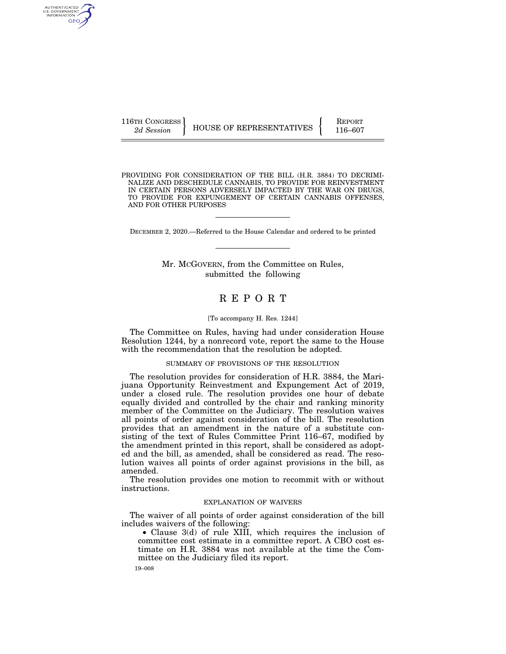AUTHENTICATED U.S. GOVERNMENT **GPO** 

116TH CONGRESS HOUSE OF REPRESENTATIVES FEPORT 116–607

PROVIDING FOR CONSIDERATION OF THE BILL (H.R. 3884) TO DECRIMI-NALIZE AND DESCHEDULE CANNABIS, TO PROVIDE FOR REINVESTMENT IN CERTAIN PERSONS ADVERSELY IMPACTED BY THE WAR ON DRUGS, TO PROVIDE FOR EXPUNGEMENT OF CERTAIN CANNABIS OFFENSES, AND FOR OTHER PURPOSES

DECEMBER 2, 2020.—Referred to the House Calendar and ordered to be printed

## Mr. MCGOVERN, from the Committee on Rules, submitted the following

# R E P O R T

#### [To accompany H. Res. 1244]

The Committee on Rules, having had under consideration House Resolution 1244, by a nonrecord vote, report the same to the House with the recommendation that the resolution be adopted.

## SUMMARY OF PROVISIONS OF THE RESOLUTION

The resolution provides for consideration of H.R. 3884, the Marijuana Opportunity Reinvestment and Expungement Act of 2019, under a closed rule. The resolution provides one hour of debate equally divided and controlled by the chair and ranking minority member of the Committee on the Judiciary. The resolution waives all points of order against consideration of the bill. The resolution provides that an amendment in the nature of a substitute consisting of the text of Rules Committee Print 116–67, modified by the amendment printed in this report, shall be considered as adopted and the bill, as amended, shall be considered as read. The resolution waives all points of order against provisions in the bill, as amended.

The resolution provides one motion to recommit with or without instructions.

## EXPLANATION OF WAIVERS

The waiver of all points of order against consideration of the bill includes waivers of the following:

• Clause 3(d) of rule XIII, which requires the inclusion of committee cost estimate in a committee report. A CBO cost estimate on H.R. 3884 was not available at the time the Committee on the Judiciary filed its report.

19–008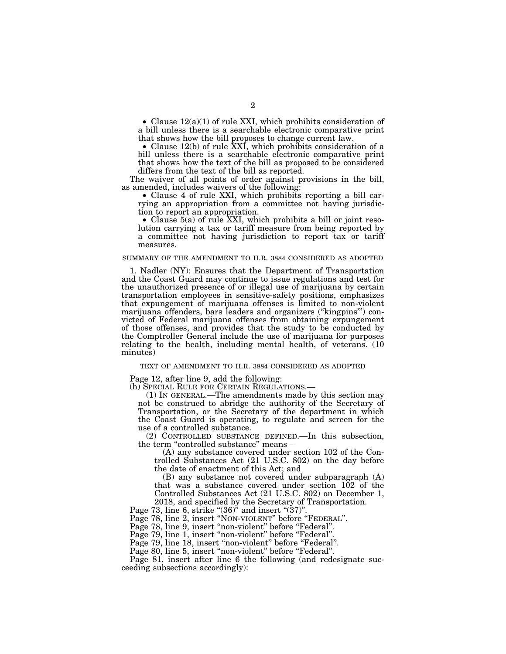• Clause  $12(a)(1)$  of rule XXI, which prohibits consideration of a bill unless there is a searchable electronic comparative print that shows how the bill proposes to change current law.

• Clause 12(b) of rule XXI, which prohibits consideration of a bill unless there is a searchable electronic comparative print that shows how the text of the bill as proposed to be considered differs from the text of the bill as reported.

The waiver of all points of order against provisions in the bill, as amended, includes waivers of the following:

• Clause 4 of rule XXI, which prohibits reporting a bill carrying an appropriation from a committee not having jurisdiction to report an appropriation.

• Clause 5(a) of rule XXI, which prohibits a bill or joint resolution carrying a tax or tariff measure from being reported by a committee not having jurisdiction to report tax or tariff measures.

### SUMMARY OF THE AMENDMENT TO H.R. 3884 CONSIDERED AS ADOPTED

1. Nadler (NY): Ensures that the Department of Transportation and the Coast Guard may continue to issue regulations and test for the unauthorized presence of or illegal use of marijuana by certain transportation employees in sensitive-safety positions, emphasizes that expungement of marijuana offenses is limited to non-violent marijuana offenders, bars leaders and organizers (''kingpins''') convicted of Federal marijuana offenses from obtaining expungement of those offenses, and provides that the study to be conducted by the Comptroller General include the use of marijuana for purposes relating to the health, including mental health, of veterans. (10 minutes)

#### TEXT OF AMENDMENT TO H.R. 3884 CONSIDERED AS ADOPTED

Page 12, after line 9, add the following:

 $(1)$  In GENERAL.—The amendments made by this section may not be construed to abridge the authority of the Secretary of Transportation, or the Secretary of the department in which the Coast Guard is operating, to regulate and screen for the use of a controlled substance.

(2) CONTROLLED SUBSTANCE DEFINED.—In this subsection, the term "controlled substance" means-

(A) any substance covered under section 102 of the Controlled Substances Act (21 U.S.C. 802) on the day before the date of enactment of this Act; and

(B) any substance not covered under subparagraph (A) that was a substance covered under section 102 of the Controlled Substances Act (21 U.S.C. 802) on December 1, 2018, and specified by the Secretary of Transportation.

Page 73, line 6, strike "(36)" and insert "(37)".

Page 78, line 2, insert "NON-VIOLENT" before "FEDERAL".

Page 78, line 9, insert "non-violent" before "Federal".

Page 79, line 1, insert "non-violent" before "Federal".

Page 79, line 18, insert "non-violent" before "Federal".

Page 80, line 5, insert "non-violent" before "Federal".

Page 81, insert after line 6 the following (and redesignate succeeding subsections accordingly):